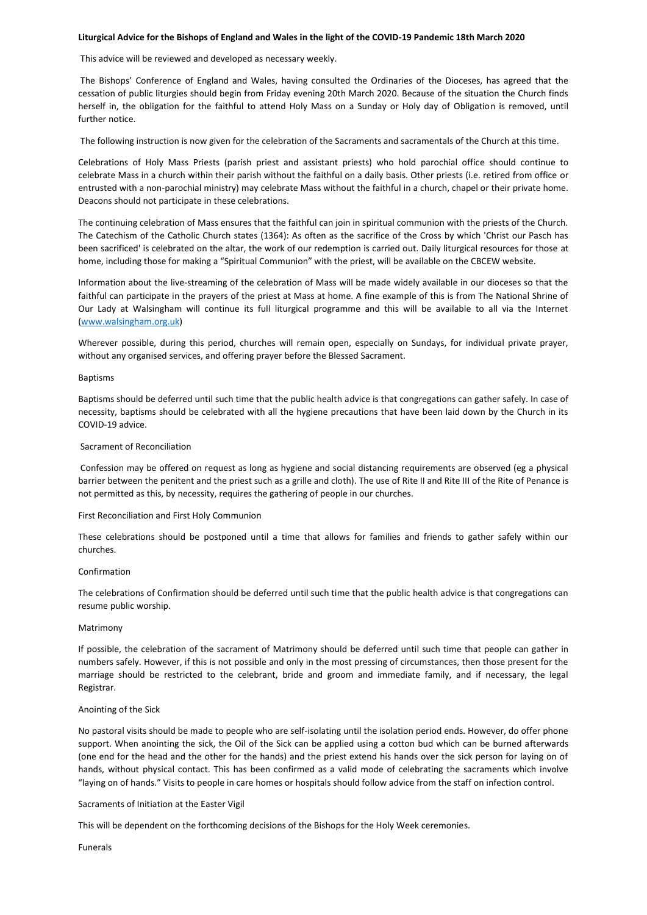### **Liturgical Advice for the Bishops of England and Wales in the light of the COVID-19 Pandemic 18th March 2020**

This advice will be reviewed and developed as necessary weekly.

The Bishops' Conference of England and Wales, having consulted the Ordinaries of the Dioceses, has agreed that the cessation of public liturgies should begin from Friday evening 20th March 2020. Because of the situation the Church finds herself in, the obligation for the faithful to attend Holy Mass on a Sunday or Holy day of Obligation is removed, until further notice.

The following instruction is now given for the celebration of the Sacraments and sacramentals of the Church at this time.

Celebrations of Holy Mass Priests (parish priest and assistant priests) who hold parochial office should continue to celebrate Mass in a church within their parish without the faithful on a daily basis. Other priests (i.e. retired from office or entrusted with a non-parochial ministry) may celebrate Mass without the faithful in a church, chapel or their private home. Deacons should not participate in these celebrations.

The continuing celebration of Mass ensures that the faithful can join in spiritual communion with the priests of the Church. The Catechism of the Catholic Church states (1364): As often as the sacrifice of the Cross by which 'Christ our Pasch has been sacrificed' is celebrated on the altar, the work of our redemption is carried out. Daily liturgical resources for those at home, including those for making a "Spiritual Communion" with the priest, will be available on the CBCEW website.

Information about the live-streaming of the celebration of Mass will be made widely available in our dioceses so that the faithful can participate in the prayers of the priest at Mass at home. A fine example of this is from The National Shrine of Our Lady at Walsingham will continue its full liturgical programme and this will be available to all via the Internet [\(www.walsingham.org.uk\)](http://www.walsingham.org.uk/)

Wherever possible, during this period, churches will remain open, especially on Sundays, for individual private prayer, without any organised services, and offering prayer before the Blessed Sacrament.

### Baptisms

Baptisms should be deferred until such time that the public health advice is that congregations can gather safely. In case of necessity, baptisms should be celebrated with all the hygiene precautions that have been laid down by the Church in its COVID-19 advice.

# Sacrament of Reconciliation

Confession may be offered on request as long as hygiene and social distancing requirements are observed (eg a physical barrier between the penitent and the priest such as a grille and cloth). The use of Rite II and Rite III of the Rite of Penance is not permitted as this, by necessity, requires the gathering of people in our churches.

# First Reconciliation and First Holy Communion

These celebrations should be postponed until a time that allows for families and friends to gather safely within our churches.

# Confirmation

The celebrations of Confirmation should be deferred until such time that the public health advice is that congregations can resume public worship.

### Matrimony

If possible, the celebration of the sacrament of Matrimony should be deferred until such time that people can gather in numbers safely. However, if this is not possible and only in the most pressing of circumstances, then those present for the marriage should be restricted to the celebrant, bride and groom and immediate family, and if necessary, the legal Registrar.

### Anointing of the Sick

No pastoral visits should be made to people who are self-isolating until the isolation period ends. However, do offer phone support. When anointing the sick, the Oil of the Sick can be applied using a cotton bud which can be burned afterwards (one end for the head and the other for the hands) and the priest extend his hands over the sick person for laying on of hands, without physical contact. This has been confirmed as a valid mode of celebrating the sacraments which involve "laying on of hands." Visits to people in care homes or hospitals should follow advice from the staff on infection control.

### Sacraments of Initiation at the Easter Vigil

This will be dependent on the forthcoming decisions of the Bishops for the Holy Week ceremonies.

Funerals